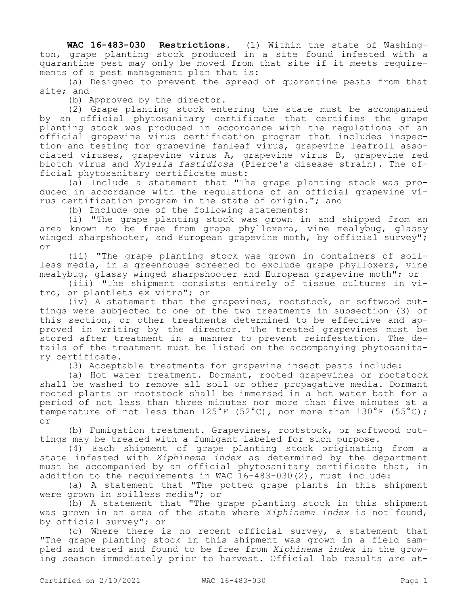**WAC 16-483-030 Restrictions.** (1) Within the state of Washington, grape planting stock produced in a site found infested with a quarantine pest may only be moved from that site if it meets requirements of a pest management plan that is:

(a) Designed to prevent the spread of quarantine pests from that site; and

(b) Approved by the director.

(2) Grape planting stock entering the state must be accompanied by an official phytosanitary certificate that certifies the grape planting stock was produced in accordance with the regulations of an official grapevine virus certification program that includes inspection and testing for grapevine fanleaf virus, grapevine leafroll associated viruses, grapevine virus A, grapevine virus B, grapevine red blotch virus and *Xylella fastidiosa* (Pierce's disease strain). The official phytosanitary certificate must:

(a) Include a statement that "The grape planting stock was produced in accordance with the regulations of an official grapevine virus certification program in the state of origin."; and

(b) Include one of the following statements:

(i) "The grape planting stock was grown in and shipped from an area known to be free from grape phylloxera, vine mealybug, glassy winged sharpshooter, and European grapevine moth, by official survey"; or

(ii) "The grape planting stock was grown in containers of soilless media, in a greenhouse screened to exclude grape phylloxera, vine mealybug, glassy winged sharpshooter and European grapevine moth"; or

(iii) "The shipment consists entirely of tissue cultures in vitro, or plantlets ex vitro"; or

(iv) A statement that the grapevines, rootstock, or softwood cuttings were subjected to one of the two treatments in subsection (3) of this section, or other treatments determined to be effective and approved in writing by the director. The treated grapevines must be stored after treatment in a manner to prevent reinfestation. The details of the treatment must be listed on the accompanying phytosanitary certificate.

(3) Acceptable treatments for grapevine insect pests include:

(a) Hot water treatment. Dormant, rooted grapevines or rootstock shall be washed to remove all soil or other propagative media. Dormant rooted plants or rootstock shall be immersed in a hot water bath for a period of not less than three minutes nor more than five minutes at a temperature of not less than  $125^{\circ}$ F (52°C), nor more than  $130^{\circ}$ F (55°C); or

(b) Fumigation treatment. Grapevines, rootstock, or softwood cuttings may be treated with a fumigant labeled for such purpose.

(4) Each shipment of grape planting stock originating from a state infested with *Xiphinema index* as determined by the department must be accompanied by an official phytosanitary certificate that, in addition to the requirements in WAC  $16-483-030(2)$ , must include:

(a) A statement that "The potted grape plants in this shipment were grown in soilless media"; or

(b) A statement that "The grape planting stock in this shipment was grown in an area of the state where *Xiphinema index* is not found, by official survey"; or

(c) Where there is no recent official survey, a statement that "The grape planting stock in this shipment was grown in a field sampled and tested and found to be free from *Xiphinema index* in the growing season immediately prior to harvest. Official lab results are at